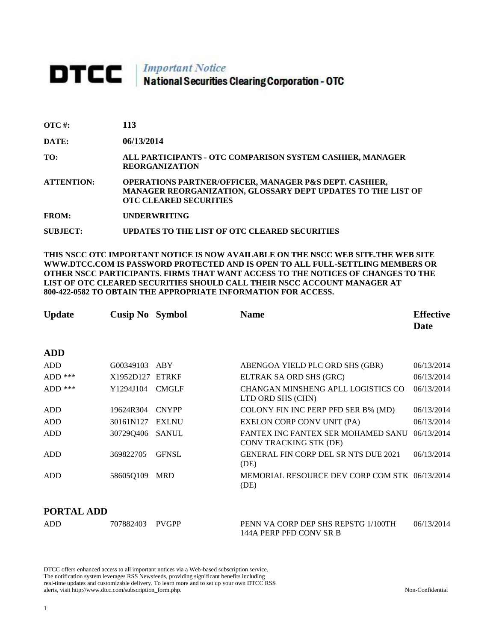# DTCC | Important Notice<br>National Securities Clearing Corporation - OTC

| $\overline{\text{OTC}}$ #: | 113 |
|----------------------------|-----|
|----------------------------|-----|

**DATE: 06/13/2014**

**TO: ALL PARTICIPANTS - OTC COMPARISON SYSTEM CASHIER, MANAGER REORGANIZATION** 

**ATTENTION: OPERATIONS PARTNER/OFFICER, MANAGER P&S DEPT. CASHIER, MANAGER REORGANIZATION, GLOSSARY DEPT UPDATES TO THE LIST OF OTC CLEARED SECURITIES** 

**FROM: UNDERWRITING**

**SUBJECT: UPDATES TO THE LIST OF OTC CLEARED SECURITIES**

**THIS NSCC OTC IMPORTANT NOTICE IS NOW AVAILABLE ON THE NSCC WEB SITE.THE WEB SITE WWW.DTCC.COM IS PASSWORD PROTECTED AND IS OPEN TO ALL FULL-SETTLING MEMBERS OR OTHER NSCC PARTICIPANTS. FIRMS THAT WANT ACCESS TO THE NOTICES OF CHANGES TO THE LIST OF OTC CLEARED SECURITIES SHOULD CALL THEIR NSCC ACCOUNT MANAGER AT 800-422-0582 TO OBTAIN THE APPROPRIATE INFORMATION FOR ACCESS.** 

| <b>Update</b> | <b>Cusip No</b> Symbol |              | <b>Name</b>                                                         | <b>Effective</b><br>Date |
|---------------|------------------------|--------------|---------------------------------------------------------------------|--------------------------|
| <b>ADD</b>    |                        |              |                                                                     |                          |
| ADD           | G00349103              | ABY          | ABENGOA YIELD PLC ORD SHS (GBR)                                     | 06/13/2014               |
| $ADD$ ***     | X1952D127              | <b>ETRKF</b> | ELTRAK SA ORD SHS (GRC)                                             | 06/13/2014               |
| $ADD$ ***     | Y1294J104              | <b>CMGLF</b> | CHANGAN MINSHENG APLL LOGISTICS CO<br>LTD ORD SHS (CHN)             | 06/13/2014               |
| <b>ADD</b>    | 19624R304              | <b>CNYPP</b> | COLONY FIN INC PERP PFD SER B% (MD)                                 | 06/13/2014               |
| ADD           | 30161N127              | <b>EXLNU</b> | EXELON CORP CONV UNIT (PA)                                          | 06/13/2014               |
| ADD           | 30729Q406              | <b>SANUL</b> | FANTEX INC FANTEX SER MOHAMED SANU<br><b>CONV TRACKING STK (DE)</b> | 06/13/2014               |
| <b>ADD</b>    | 369822705              | <b>GFNSL</b> | <b>GENERAL FIN CORP DEL SR NTS DUE 2021</b><br>(DE)                 | 06/13/2014               |
| ADD           | 58605Q109              | <b>MRD</b>   | MEMORIAL RESOURCE DEV CORP COM STK 06/13/2014<br>(DE)               |                          |

#### **PORTAL ADD**

| ADD | 707882403 | PVGPP | PENN VA CORP DEP SHS REPSTG 1/100TH | 06/13/2014 |
|-----|-----------|-------|-------------------------------------|------------|
|     |           |       | 144A PERP PFD CONV SR B             |            |

DTCC offers enhanced access to all important notices via a Web-based subscription service. The notification system leverages RSS Newsfeeds, providing significant benefits including real-time updates and customizable delivery. To learn more and to set up your own DTCC RSS alerts, visit http://www.dtcc.com/subscription\_form.php. Non-Confidential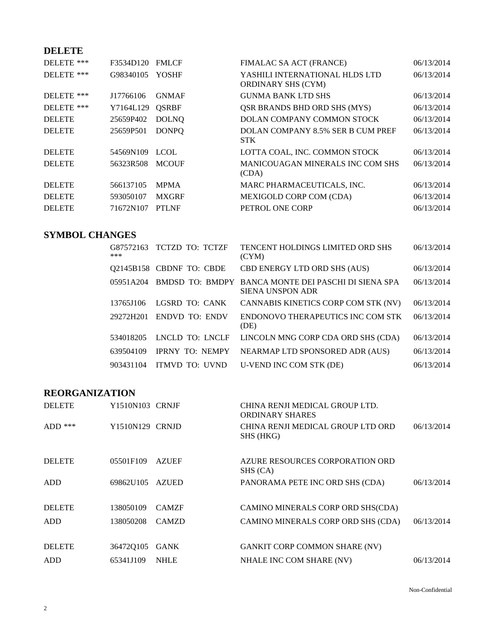## **DELETE**

| DELETE ***    | F3534D120 | <b>FMLCF</b> | FIMALAC SA ACT (FRANCE)                                     | 06/13/2014 |
|---------------|-----------|--------------|-------------------------------------------------------------|------------|
| DELETE ***    | G98340105 | <b>YOSHF</b> | YASHILI INTERNATIONAL HLDS LTD<br><b>ORDINARY SHS (CYM)</b> | 06/13/2014 |
| DELETE ***    | J17766106 | <b>GNMAF</b> | <b>GUNMA BANK LTD SHS</b>                                   | 06/13/2014 |
| DELETE ***    | Y7164L129 | <b>OSRBF</b> | <b>QSR BRANDS BHD ORD SHS (MYS)</b>                         | 06/13/2014 |
| <b>DELETE</b> | 25659P402 | <b>DOLNO</b> | DOLAN COMPANY COMMON STOCK                                  | 06/13/2014 |
| <b>DELETE</b> | 25659P501 | <b>DONPO</b> | DOLAN COMPANY 8.5% SER B CUM PREF<br><b>STK</b>             | 06/13/2014 |
| <b>DELETE</b> | 54569N109 | <b>LCOL</b>  | LOTTA COAL, INC. COMMON STOCK                               | 06/13/2014 |
| <b>DELETE</b> | 56323R508 | <b>MCOUF</b> | <b>MANICOUAGAN MINERALS INC COM SHS</b><br>(CDA)            | 06/13/2014 |
| <b>DELETE</b> | 566137105 | <b>MPMA</b>  | MARC PHARMACEUTICALS, INC.                                  | 06/13/2014 |
| <b>DELETE</b> | 593050107 | <b>MXGRF</b> | MEXIGOLD CORP COM (CDA)                                     | 06/13/2014 |
| <b>DELETE</b> | 71672N107 | PTI NF       | PETROL ONE CORP                                             | 06/13/2014 |

## **SYMBOL CHANGES**

| ***       | G87572163 TCTZD TO: TCTZF | <b>TENCENT HOLDINGS LIMITED ORD SHS</b><br>(CYM)                        | 06/13/2014 |
|-----------|---------------------------|-------------------------------------------------------------------------|------------|
|           | Q2145B158 CBDNF TO: CBDE  | CBD ENERGY LTD ORD SHS (AUS)                                            | 06/13/2014 |
| 05951A204 |                           | BMDSD TO: BMDPY BANCA MONTE DEI PASCHI DI SIENA SPA<br>SIENA UNSPON ADR | 06/13/2014 |
| 13765J106 | LGSRD TO: CANK            | CANNABIS KINETICS CORP COM STK (NV)                                     | 06/13/2014 |
| 29272H201 | <b>ENDVD TO: ENDV</b>     | ENDONOVO THERAPEUTICS INC COM STK<br>(DE)                               | 06/13/2014 |
| 534018205 | LNCLD TO: LNCLF           | LINCOLN MNG CORP CDA ORD SHS (CDA)                                      | 06/13/2014 |
| 639504109 | <b>IPRNY TO: NEMPY</b>    | NEARMAP LTD SPONSORED ADR (AUS)                                         | 06/13/2014 |
| 903431104 | <b>ITMVD TO: UVND</b>     | U-VEND INC COM STK (DE)                                                 | 06/13/2014 |

### **REORGANIZATION**

| <b>DELETE</b> | Y1510N103 CRNJF |              | CHINA RENJI MEDICAL GROUP LTD.<br><b>ORDINARY SHARES</b> |            |
|---------------|-----------------|--------------|----------------------------------------------------------|------------|
| $ADD$ ***     | Y1510N129 CRNJD |              | CHINA RENJI MEDICAL GROUP LTD ORD<br>SHS (HKG)           | 06/13/2014 |
| <b>DELETE</b> | 05501F109       | <b>AZUEF</b> | AZURE RESOURCES CORPORATION ORD<br>SHS (CA)              |            |
| <b>ADD</b>    | 69862U105       | <b>AZUED</b> | PANORAMA PETE INC ORD SHS (CDA)                          | 06/13/2014 |
| <b>DELETE</b> | 138050109       | <b>CAMZF</b> | CAMINO MINERALS CORP ORD SHS(CDA)                        |            |
| <b>ADD</b>    | 138050208       | <b>CAMZD</b> | CAMINO MINERALS CORP ORD SHS (CDA)                       | 06/13/2014 |
| <b>DELETE</b> | 36472Q105       | <b>GANK</b>  | <b>GANKIT CORP COMMON SHARE (NV)</b>                     |            |
| ADD           | 65341J109       | <b>NHLE</b>  | NHALE INC COM SHARE (NV)                                 | 06/13/2014 |

Non-Confidential